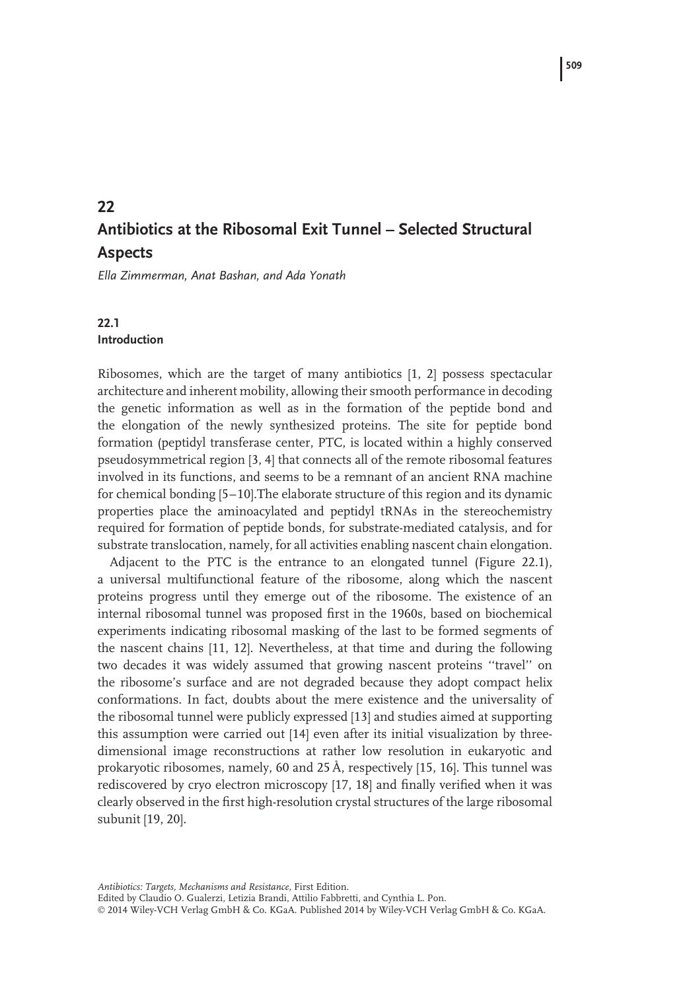# **22 Antibiotics at the Ribosomal Exit Tunnel – Selected Structural Aspects**

*Ella Zimmerman, Anat Bashan, and Ada Yonath*

# **22.1 Introduction**

Ribosomes, which are the target of many antibiotics [1, 2] possess spectacular architecture and inherent mobility, allowing their smooth performance in decoding the genetic information as well as in the formation of the peptide bond and the elongation of the newly synthesized proteins. The site for peptide bond formation (peptidyl transferase center, PTC, is located within a highly conserved pseudosymmetrical region [3, 4] that connects all of the remote ribosomal features involved in its functions, and seems to be a remnant of an ancient RNA machine for chemical bonding [5–10].The elaborate structure of this region and its dynamic properties place the aminoacylated and peptidyl tRNAs in the stereochemistry required for formation of peptide bonds, for substrate-mediated catalysis, and for substrate translocation, namely, for all activities enabling nascent chain elongation.

Adjacent to the PTC is the entrance to an elongated tunnel (Figure 22.1), a universal multifunctional feature of the ribosome, along which the nascent proteins progress until they emerge out of the ribosome. The existence of an internal ribosomal tunnel was proposed first in the 1960s, based on biochemical experiments indicating ribosomal masking of the last to be formed segments of the nascent chains [11, 12]. Nevertheless, at that time and during the following two decades it was widely assumed that growing nascent proteins ''travel'' on the ribosome's surface and are not degraded because they adopt compact helix conformations. In fact, doubts about the mere existence and the universality of the ribosomal tunnel were publicly expressed [13] and studies aimed at supporting this assumption were carried out [14] even after its initial visualization by threedimensional image reconstructions at rather low resolution in eukaryotic and prokaryotic ribosomes, namely, 60 and 25 Å, respectively  $[15, 16]$ . This tunnel was rediscovered by cryo electron microscopy [17, 18] and finally verified when it was clearly observed in the first high-resolution crystal structures of the large ribosomal subunit [19, 20].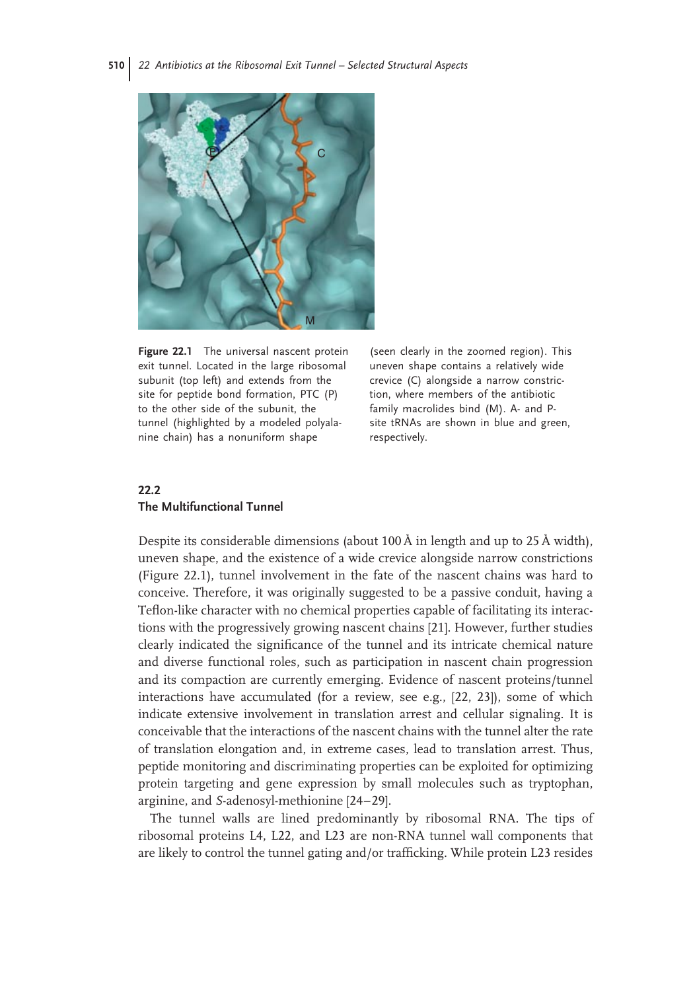

**Figure 22.1** The universal nascent protein exit tunnel. Located in the large ribosomal subunit (top left) and extends from the site for peptide bond formation, PTC (P) to the other side of the subunit, the tunnel (highlighted by a modeled polyalanine chain) has a nonuniform shape

(seen clearly in the zoomed region). This uneven shape contains a relatively wide crevice (C) alongside a narrow constriction, where members of the antibiotic family macrolides bind (M). A- and Psite tRNAs are shown in blue and green, respectively.

## **22.2 The Multifunctional Tunnel**

Despite its considerable dimensions (about  $100 \text{ Å}$  in length and up to  $25 \text{ Å}$  width), uneven shape, and the existence of a wide crevice alongside narrow constrictions (Figure 22.1), tunnel involvement in the fate of the nascent chains was hard to conceive. Therefore, it was originally suggested to be a passive conduit, having a Teflon-like character with no chemical properties capable of facilitating its interactions with the progressively growing nascent chains [21]. However, further studies clearly indicated the significance of the tunnel and its intricate chemical nature and diverse functional roles, such as participation in nascent chain progression and its compaction are currently emerging. Evidence of nascent proteins/tunnel interactions have accumulated (for a review, see e.g., [22, 23]), some of which indicate extensive involvement in translation arrest and cellular signaling. It is conceivable that the interactions of the nascent chains with the tunnel alter the rate of translation elongation and, in extreme cases, lead to translation arrest. Thus, peptide monitoring and discriminating properties can be exploited for optimizing protein targeting and gene expression by small molecules such as tryptophan, arginine, and *S*-adenosyl-methionine [24–29].

The tunnel walls are lined predominantly by ribosomal RNA. The tips of ribosomal proteins L4, L22, and L23 are non-RNA tunnel wall components that are likely to control the tunnel gating and/or trafficking. While protein L23 resides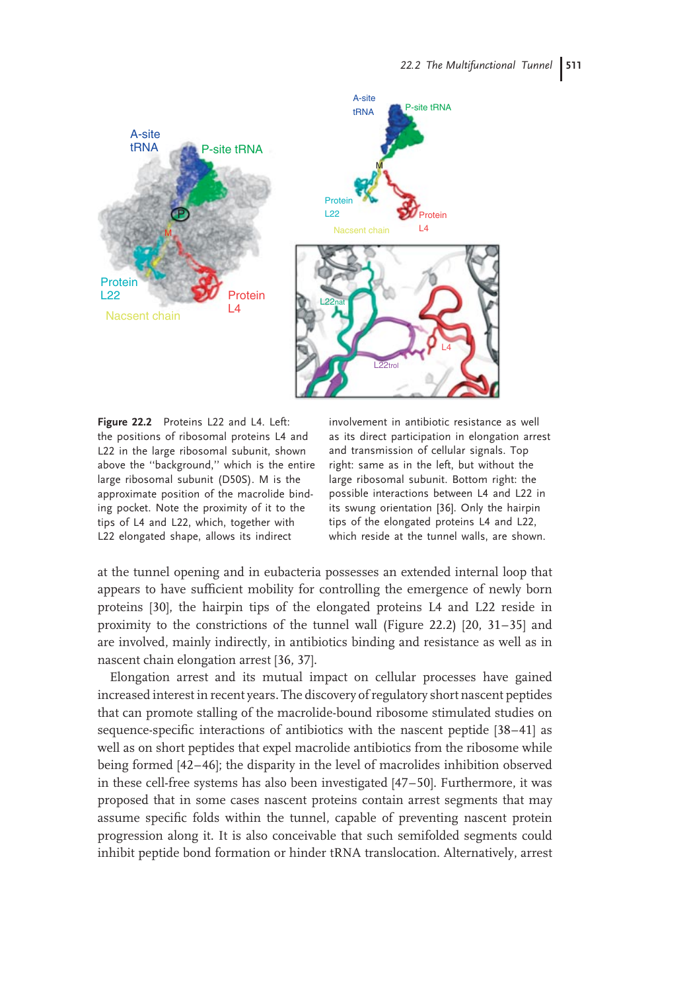



P-site tRNA

A-site

**Figure 22.2** Proteins L22 and L4. Left: the positions of ribosomal proteins L4 and L22 in the large ribosomal subunit, shown above the ''background,'' which is the entire large ribosomal subunit (D50S). M is the approximate position of the macrolide binding pocket. Note the proximity of it to the tips of L4 and L22, which, together with L22 elongated shape, allows its indirect

involvement in antibiotic resistance as well as its direct participation in elongation arrest and transmission of cellular signals. Top right: same as in the left, but without the large ribosomal subunit. Bottom right: the possible interactions between L4 and L22 in its swung orientation [36]. Only the hairpin tips of the elongated proteins L4 and L22, which reside at the tunnel walls, are shown.

at the tunnel opening and in eubacteria possesses an extended internal loop that appears to have sufficient mobility for controlling the emergence of newly born proteins [30], the hairpin tips of the elongated proteins L4 and L22 reside in proximity to the constrictions of the tunnel wall (Figure 22.2) [20, 31–35] and are involved, mainly indirectly, in antibiotics binding and resistance as well as in nascent chain elongation arrest [36, 37].

Elongation arrest and its mutual impact on cellular processes have gained increased interest in recent years. The discovery of regulatory short nascent peptides that can promote stalling of the macrolide-bound ribosome stimulated studies on sequence-specific interactions of antibiotics with the nascent peptide [38–41] as well as on short peptides that expel macrolide antibiotics from the ribosome while being formed [42–46]; the disparity in the level of macrolides inhibition observed in these cell-free systems has also been investigated [47–50]. Furthermore, it was proposed that in some cases nascent proteins contain arrest segments that may assume specific folds within the tunnel, capable of preventing nascent protein progression along it. It is also conceivable that such semifolded segments could inhibit peptide bond formation or hinder tRNA translocation. Alternatively, arrest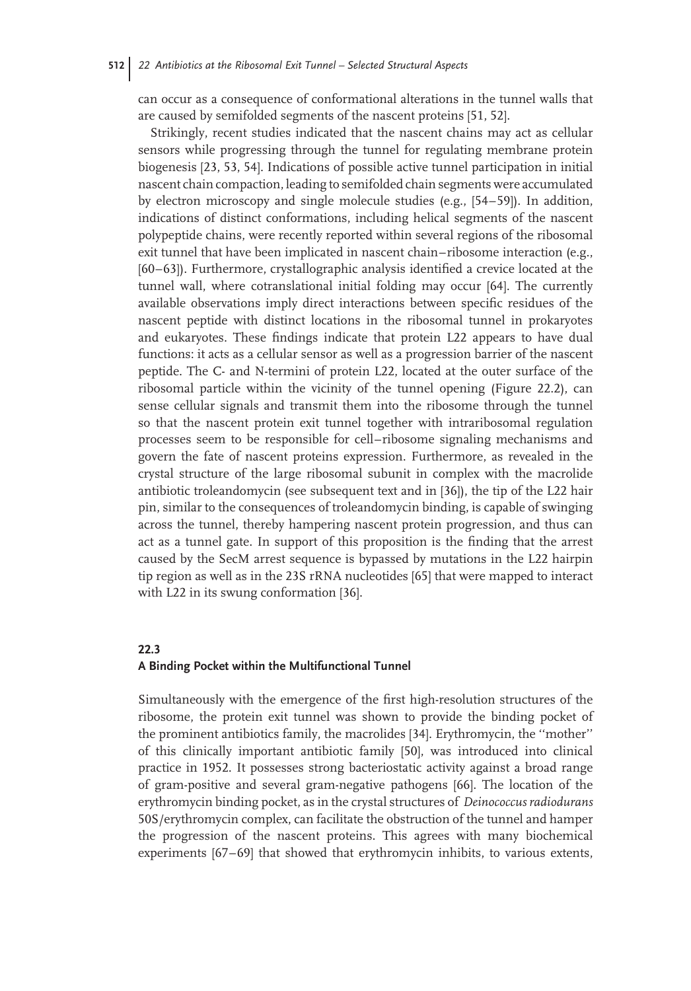## **512** *22 Antibiotics at the Ribosomal Exit Tunnel – Selected Structural Aspects*

can occur as a consequence of conformational alterations in the tunnel walls that are caused by semifolded segments of the nascent proteins [51, 52].

Strikingly, recent studies indicated that the nascent chains may act as cellular sensors while progressing through the tunnel for regulating membrane protein biogenesis [23, 53, 54]. Indications of possible active tunnel participation in initial nascent chain compaction, leading to semifolded chain segments were accumulated by electron microscopy and single molecule studies (e.g., [54–59]). In addition, indications of distinct conformations, including helical segments of the nascent polypeptide chains, were recently reported within several regions of the ribosomal exit tunnel that have been implicated in nascent chain–ribosome interaction (e.g., [60–63]). Furthermore, crystallographic analysis identified a crevice located at the tunnel wall, where cotranslational initial folding may occur [64]. The currently available observations imply direct interactions between specific residues of the nascent peptide with distinct locations in the ribosomal tunnel in prokaryotes and eukaryotes. These findings indicate that protein L22 appears to have dual functions: it acts as a cellular sensor as well as a progression barrier of the nascent peptide. The C- and N-termini of protein L22, located at the outer surface of the ribosomal particle within the vicinity of the tunnel opening (Figure 22.2), can sense cellular signals and transmit them into the ribosome through the tunnel so that the nascent protein exit tunnel together with intraribosomal regulation processes seem to be responsible for cell–ribosome signaling mechanisms and govern the fate of nascent proteins expression. Furthermore, as revealed in the crystal structure of the large ribosomal subunit in complex with the macrolide antibiotic troleandomycin (see subsequent text and in [36]), the tip of the L22 hair pin, similar to the consequences of troleandomycin binding, is capable of swinging across the tunnel, thereby hampering nascent protein progression, and thus can act as a tunnel gate. In support of this proposition is the finding that the arrest caused by the SecM arrest sequence is bypassed by mutations in the L22 hairpin tip region as well as in the 23S rRNA nucleotides [65] that were mapped to interact with L22 in its swung conformation [36].

# **22.3 A Binding Pocket within the Multifunctional Tunnel**

Simultaneously with the emergence of the first high-resolution structures of the ribosome, the protein exit tunnel was shown to provide the binding pocket of the prominent antibiotics family, the macrolides [34]. Erythromycin, the ''mother'' of this clinically important antibiotic family [50], was introduced into clinical practice in 1952. It possesses strong bacteriostatic activity against a broad range of gram-positive and several gram-negative pathogens [66]. The location of the erythromycin binding pocket, as in the crystal structures of *Deinococcus radiodurans* 50S/erythromycin complex, can facilitate the obstruction of the tunnel and hamper the progression of the nascent proteins. This agrees with many biochemical experiments [67–69] that showed that erythromycin inhibits, to various extents,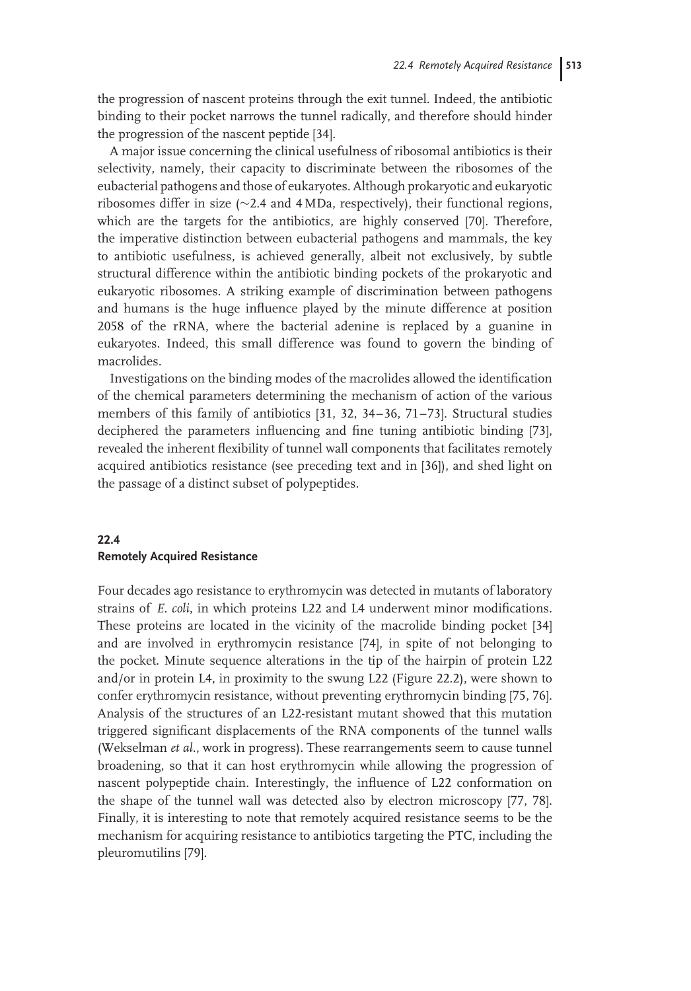the progression of nascent proteins through the exit tunnel. Indeed, the antibiotic binding to their pocket narrows the tunnel radically, and therefore should hinder the progression of the nascent peptide [34].

A major issue concerning the clinical usefulness of ribosomal antibiotics is their selectivity, namely, their capacity to discriminate between the ribosomes of the eubacterial pathogens and those of eukaryotes. Although prokaryotic and eukaryotic ribosomes differ in size (∼2.4 and 4 MDa, respectively), their functional regions, which are the targets for the antibiotics, are highly conserved [70]. Therefore, the imperative distinction between eubacterial pathogens and mammals, the key to antibiotic usefulness, is achieved generally, albeit not exclusively, by subtle structural difference within the antibiotic binding pockets of the prokaryotic and eukaryotic ribosomes. A striking example of discrimination between pathogens and humans is the huge influence played by the minute difference at position 2058 of the rRNA, where the bacterial adenine is replaced by a guanine in eukaryotes. Indeed, this small difference was found to govern the binding of macrolides.

Investigations on the binding modes of the macrolides allowed the identification of the chemical parameters determining the mechanism of action of the various members of this family of antibiotics [31, 32, 34–36, 71–73]. Structural studies deciphered the parameters influencing and fine tuning antibiotic binding [73], revealed the inherent flexibility of tunnel wall components that facilitates remotely acquired antibiotics resistance (see preceding text and in [36]), and shed light on the passage of a distinct subset of polypeptides.

# **22.4 Remotely Acquired Resistance**

Four decades ago resistance to erythromycin was detected in mutants of laboratory strains of *E. coli*, in which proteins L22 and L4 underwent minor modifications. These proteins are located in the vicinity of the macrolide binding pocket [34] and are involved in erythromycin resistance [74], in spite of not belonging to the pocket. Minute sequence alterations in the tip of the hairpin of protein L22 and/or in protein L4, in proximity to the swung L22 (Figure 22.2), were shown to confer erythromycin resistance, without preventing erythromycin binding [75, 76]. Analysis of the structures of an L22-resistant mutant showed that this mutation triggered significant displacements of the RNA components of the tunnel walls (Wekselman *et al*., work in progress). These rearrangements seem to cause tunnel broadening, so that it can host erythromycin while allowing the progression of nascent polypeptide chain. Interestingly, the influence of L22 conformation on the shape of the tunnel wall was detected also by electron microscopy [77, 78]. Finally, it is interesting to note that remotely acquired resistance seems to be the mechanism for acquiring resistance to antibiotics targeting the PTC, including the pleuromutilins [79].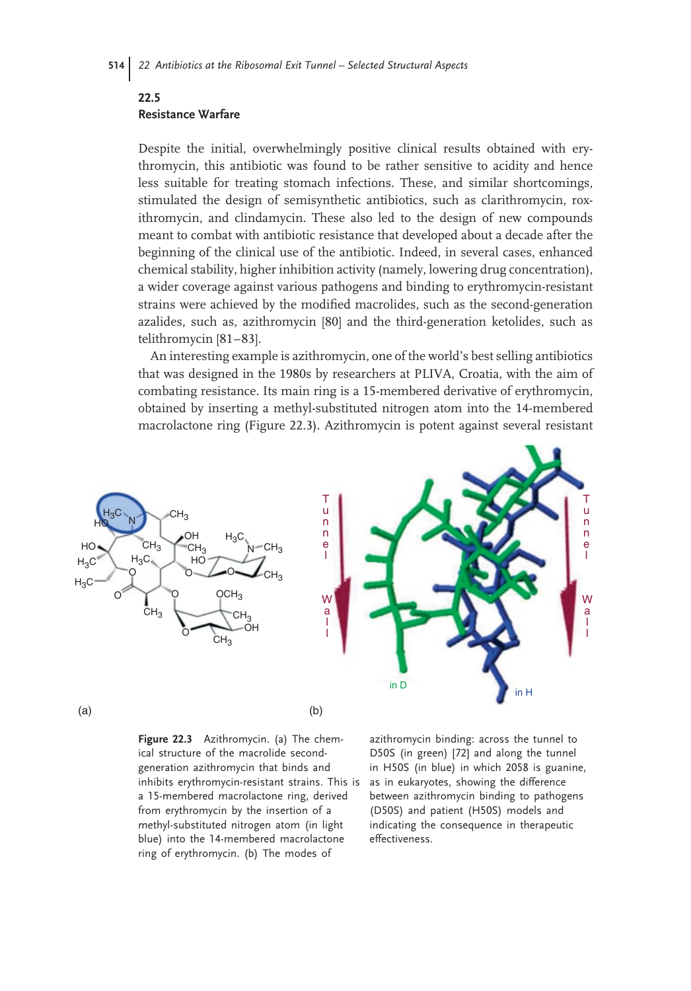### **22.5 Resistance Warfare**

Despite the initial, overwhelmingly positive clinical results obtained with erythromycin, this antibiotic was found to be rather sensitive to acidity and hence less suitable for treating stomach infections. These, and similar shortcomings, stimulated the design of semisynthetic antibiotics, such as clarithromycin, roxithromycin, and clindamycin. These also led to the design of new compounds meant to combat with antibiotic resistance that developed about a decade after the beginning of the clinical use of the antibiotic. Indeed, in several cases, enhanced chemical stability, higher inhibition activity (namely, lowering drug concentration), a wider coverage against various pathogens and binding to erythromycin-resistant strains were achieved by the modified macrolides, such as the second-generation azalides, such as, azithromycin [80] and the third-generation ketolides, such as telithromycin [81–83].

An interesting example is azithromycin, one of the world's best selling antibiotics that was designed in the 1980s by researchers at PLIVA, Croatia, with the aim of combating resistance. Its main ring is a 15-membered derivative of erythromycin, obtained by inserting a methyl-substituted nitrogen atom into the 14-membered macrolactone ring (Figure 22.3). Azithromycin is potent against several resistant



**Figure 22.3** Azithromycin. (a) The chemical structure of the macrolide secondgeneration azithromycin that binds and inhibits erythromycin-resistant strains. This is a 15-membered macrolactone ring, derived from erythromycin by the insertion of a methyl-substituted nitrogen atom (in light blue) into the 14-membered macrolactone ring of erythromycin. (b) The modes of

azithromycin binding: across the tunnel to D50S (in green) [72] and along the tunnel in H50S (in blue) in which 2058 is guanine, as in eukaryotes, showing the difference between azithromycin binding to pathogens (D50S) and patient (H50S) models and indicating the consequence in therapeutic effectiveness.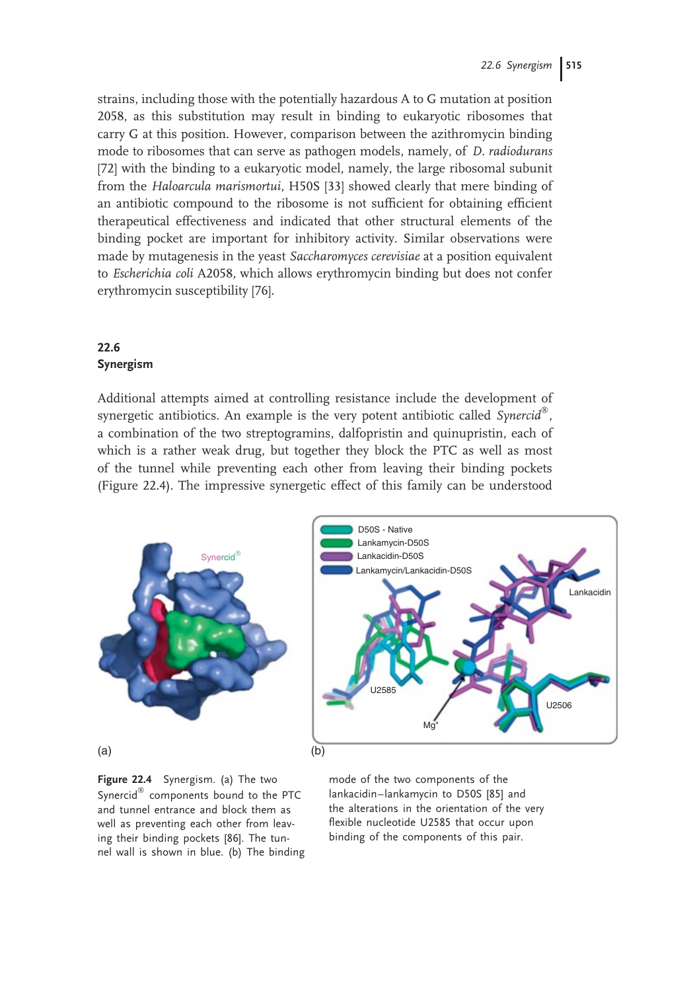strains, including those with the potentially hazardous A to G mutation at position 2058, as this substitution may result in binding to eukaryotic ribosomes that carry G at this position. However, comparison between the azithromycin binding mode to ribosomes that can serve as pathogen models, namely, of *D. radiodurans* [72] with the binding to a eukaryotic model, namely, the large ribosomal subunit from the *Haloarcula marismortui*, H50S [33] showed clearly that mere binding of an antibiotic compound to the ribosome is not sufficient for obtaining efficient therapeutical effectiveness and indicated that other structural elements of the binding pocket are important for inhibitory activity. Similar observations were made by mutagenesis in the yeast *Saccharomyces cerevisiae* at a position equivalent to *Escherichia coli* A2058, which allows erythromycin binding but does not confer erythromycin susceptibility [76].

## **22.6 Synergism**

Additional attempts aimed at controlling resistance include the development of synergetic antibiotics. An example is the very potent antibiotic called *Synercid*®, a combination of the two streptogramins, dalfopristin and quinupristin, each of which is a rather weak drug, but together they block the PTC as well as most of the tunnel while preventing each other from leaving their binding pockets (Figure 22.4). The impressive synergetic effect of this family can be understood





mode of the two components of the lankacidin–lankamycin to D50S [85] and the alterations in the orientation of the very flexible nucleotide U2585 that occur upon binding of the components of this pair.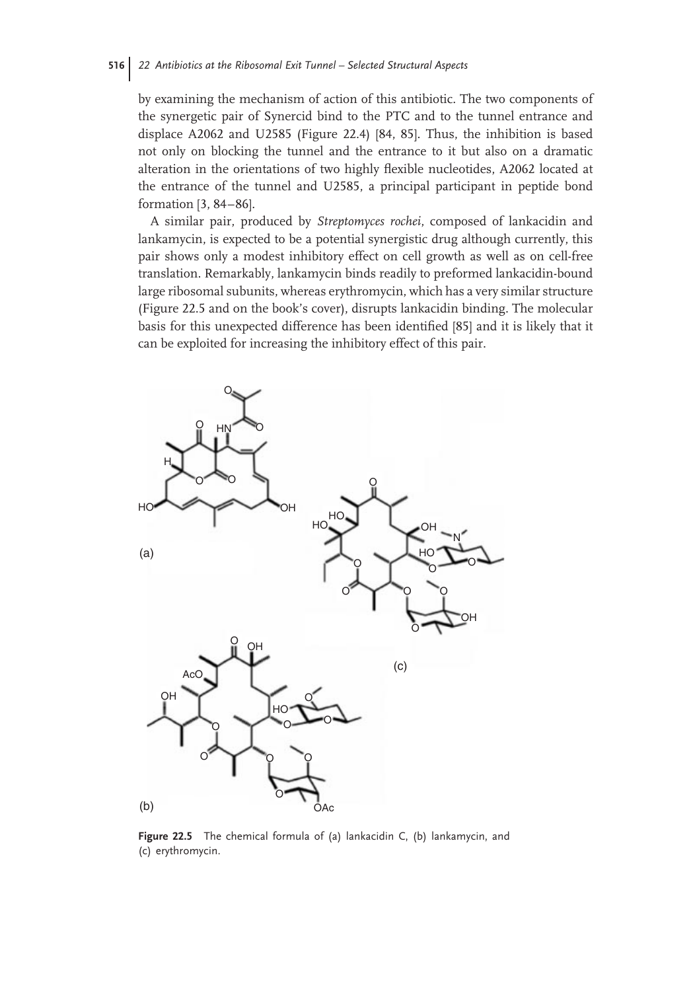#### **516** *22 Antibiotics at the Ribosomal Exit Tunnel – Selected Structural Aspects*

by examining the mechanism of action of this antibiotic. The two components of the synergetic pair of Synercid bind to the PTC and to the tunnel entrance and displace A2062 and U2585 (Figure 22.4) [84, 85]. Thus, the inhibition is based not only on blocking the tunnel and the entrance to it but also on a dramatic alteration in the orientations of two highly flexible nucleotides, A2062 located at the entrance of the tunnel and U2585, a principal participant in peptide bond formation [3, 84–86].

A similar pair, produced by *Streptomyces rochei*, composed of lankacidin and lankamycin, is expected to be a potential synergistic drug although currently, this pair shows only a modest inhibitory effect on cell growth as well as on cell-free translation. Remarkably, lankamycin binds readily to preformed lankacidin-bound large ribosomal subunits, whereas erythromycin, which has a very similar structure (Figure 22.5 and on the book's cover), disrupts lankacidin binding. The molecular basis for this unexpected difference has been identified [85] and it is likely that it can be exploited for increasing the inhibitory effect of this pair.



**Figure 22.5** The chemical formula of (a) lankacidin C, (b) lankamycin, and (c) erythromycin.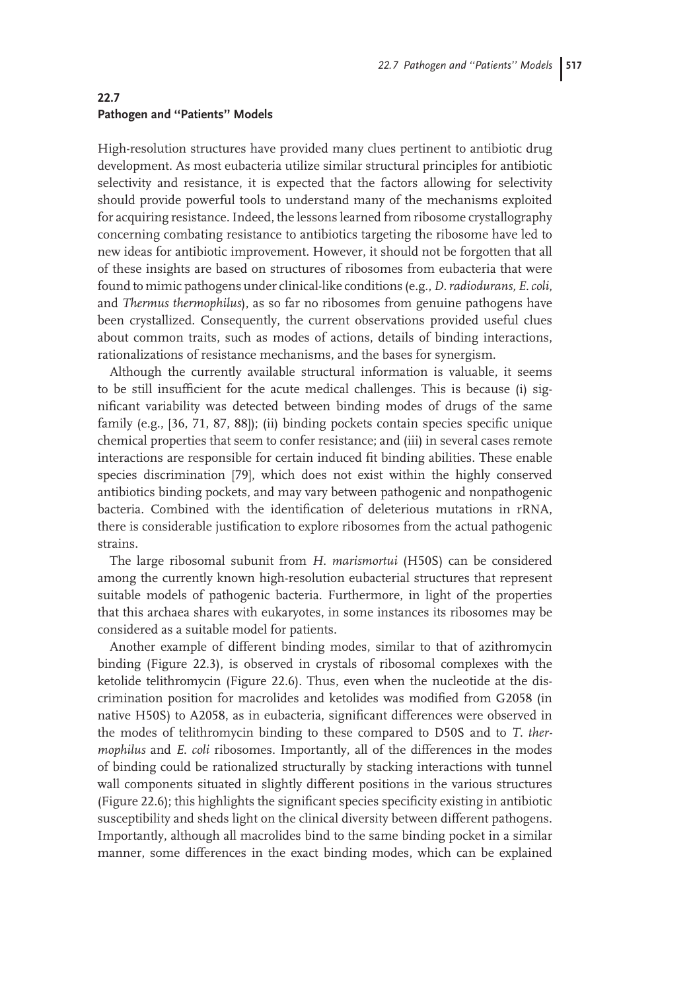## **22.7 Pathogen and ''Patients'' Models**

High-resolution structures have provided many clues pertinent to antibiotic drug development. As most eubacteria utilize similar structural principles for antibiotic selectivity and resistance, it is expected that the factors allowing for selectivity should provide powerful tools to understand many of the mechanisms exploited for acquiring resistance. Indeed, the lessons learned from ribosome crystallography concerning combating resistance to antibiotics targeting the ribosome have led to new ideas for antibiotic improvement. However, it should not be forgotten that all of these insights are based on structures of ribosomes from eubacteria that were found to mimic pathogens under clinical-like conditions (e.g., *D. radiodurans, E. coli*, and *Thermus thermophilus*), as so far no ribosomes from genuine pathogens have been crystallized. Consequently, the current observations provided useful clues about common traits, such as modes of actions, details of binding interactions, rationalizations of resistance mechanisms, and the bases for synergism.

Although the currently available structural information is valuable, it seems to be still insufficient for the acute medical challenges. This is because (i) significant variability was detected between binding modes of drugs of the same family (e.g., [36, 71, 87, 88]); (ii) binding pockets contain species specific unique chemical properties that seem to confer resistance; and (iii) in several cases remote interactions are responsible for certain induced fit binding abilities. These enable species discrimination [79], which does not exist within the highly conserved antibiotics binding pockets, and may vary between pathogenic and nonpathogenic bacteria. Combined with the identification of deleterious mutations in rRNA, there is considerable justification to explore ribosomes from the actual pathogenic strains.

The large ribosomal subunit from *H. marismortui* (H50S) can be considered among the currently known high-resolution eubacterial structures that represent suitable models of pathogenic bacteria. Furthermore, in light of the properties that this archaea shares with eukaryotes, in some instances its ribosomes may be considered as a suitable model for patients.

Another example of different binding modes, similar to that of azithromycin binding (Figure 22.3), is observed in crystals of ribosomal complexes with the ketolide telithromycin (Figure 22.6). Thus, even when the nucleotide at the discrimination position for macrolides and ketolides was modified from G2058 (in native H50S) to A2058, as in eubacteria, significant differences were observed in the modes of telithromycin binding to these compared to D50S and to *T. thermophilus* and *E. coli* ribosomes. Importantly, all of the differences in the modes of binding could be rationalized structurally by stacking interactions with tunnel wall components situated in slightly different positions in the various structures (Figure 22.6); this highlights the significant species specificity existing in antibiotic susceptibility and sheds light on the clinical diversity between different pathogens. Importantly, although all macrolides bind to the same binding pocket in a similar manner, some differences in the exact binding modes, which can be explained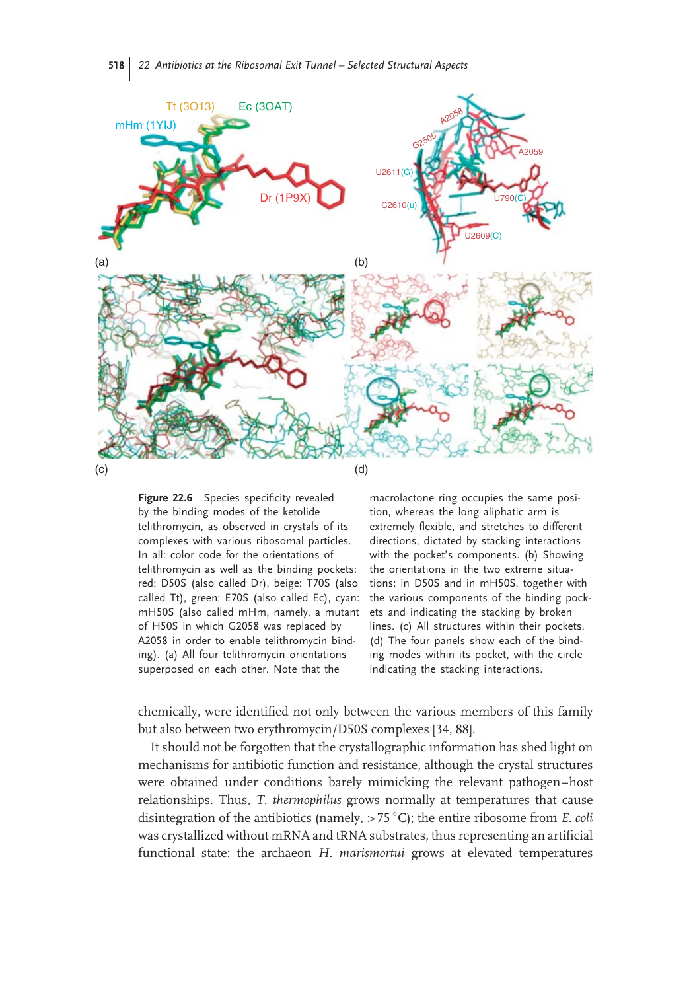

Figure 22.6 Species specificity revealed by the binding modes of the ketolide telithromycin, as observed in crystals of its complexes with various ribosomal particles. In all: color code for the orientations of telithromycin as well as the binding pockets: red: D50S (also called Dr), beige: T70S (also called Tt), green: E70S (also called Ec), cyan: mH50S (also called mHm, namely, a mutant of H50S in which G2058 was replaced by A2058 in order to enable telithromycin binding). (a) All four telithromycin orientations superposed on each other. Note that the

macrolactone ring occupies the same position, whereas the long aliphatic arm is extremely flexible, and stretches to different directions, dictated by stacking interactions with the pocket's components. (b) Showing the orientations in the two extreme situations: in D50S and in mH50S, together with the various components of the binding pockets and indicating the stacking by broken lines. (c) All structures within their pockets. (d) The four panels show each of the binding modes within its pocket, with the circle indicating the stacking interactions.

chemically, were identified not only between the various members of this family but also between two erythromycin/D50S complexes [34, 88].

It should not be forgotten that the crystallographic information has shed light on mechanisms for antibiotic function and resistance, although the crystal structures were obtained under conditions barely mimicking the relevant pathogen–host relationships. Thus, *T. thermophilus* grows normally at temperatures that cause disintegration of the antibiotics (namely, >75 ◦ C); the entire ribosome from *E. coli* was crystallized without mRNA and tRNA substrates, thus representing an artificial functional state: the archaeon *H. marismortui* grows at elevated temperatures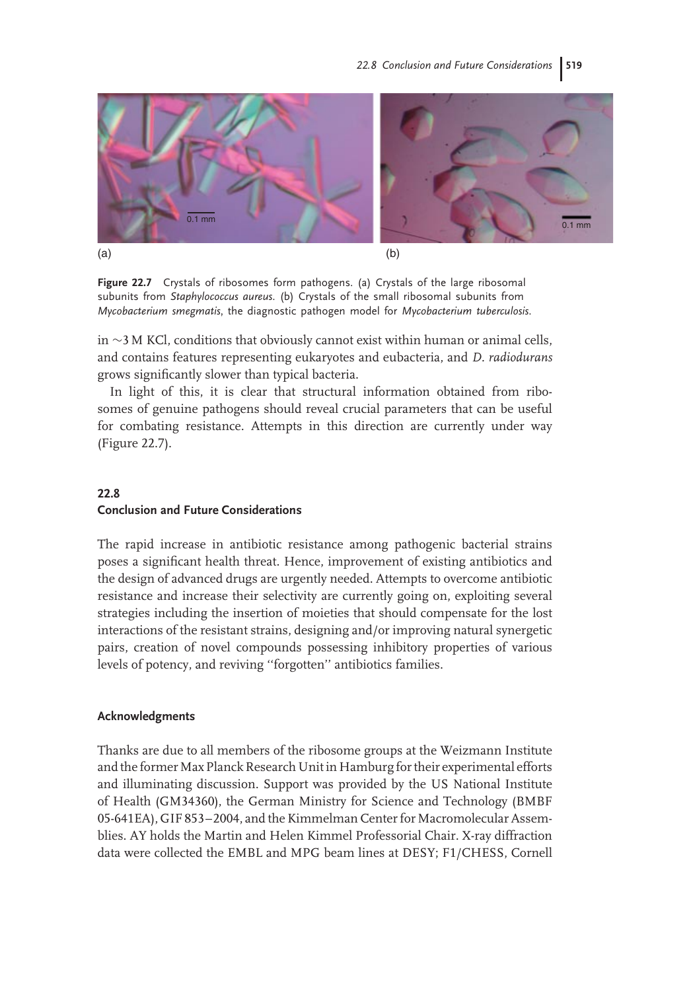

**Figure 22.7** Crystals of ribosomes form pathogens. (a) Crystals of the large ribosomal subunits from *Staphylococcus aureus*. (b) Crystals of the small ribosomal subunits from *Mycobacterium smegmatis*, the diagnostic pathogen model for *Mycobacterium tuberculosis*.

in ∼3 M KCl, conditions that obviously cannot exist within human or animal cells, and contains features representing eukaryotes and eubacteria, and *D. radiodurans* grows significantly slower than typical bacteria.

In light of this, it is clear that structural information obtained from ribosomes of genuine pathogens should reveal crucial parameters that can be useful for combating resistance. Attempts in this direction are currently under way (Figure 22.7).

# **22.8 Conclusion and Future Considerations**

The rapid increase in antibiotic resistance among pathogenic bacterial strains poses a significant health threat. Hence, improvement of existing antibiotics and the design of advanced drugs are urgently needed. Attempts to overcome antibiotic resistance and increase their selectivity are currently going on, exploiting several strategies including the insertion of moieties that should compensate for the lost interactions of the resistant strains, designing and/or improving natural synergetic pairs, creation of novel compounds possessing inhibitory properties of various levels of potency, and reviving ''forgotten'' antibiotics families.

## **Acknowledgments**

Thanks are due to all members of the ribosome groups at the Weizmann Institute and the former Max Planck Research Unit in Hamburg for their experimental efforts and illuminating discussion. Support was provided by the US National Institute of Health (GM34360), the German Ministry for Science and Technology (BMBF 05-641EA), GIF 853–2004, and the Kimmelman Center for Macromolecular Assemblies. AY holds the Martin and Helen Kimmel Professorial Chair. X-ray diffraction data were collected the EMBL and MPG beam lines at DESY; F1/CHESS, Cornell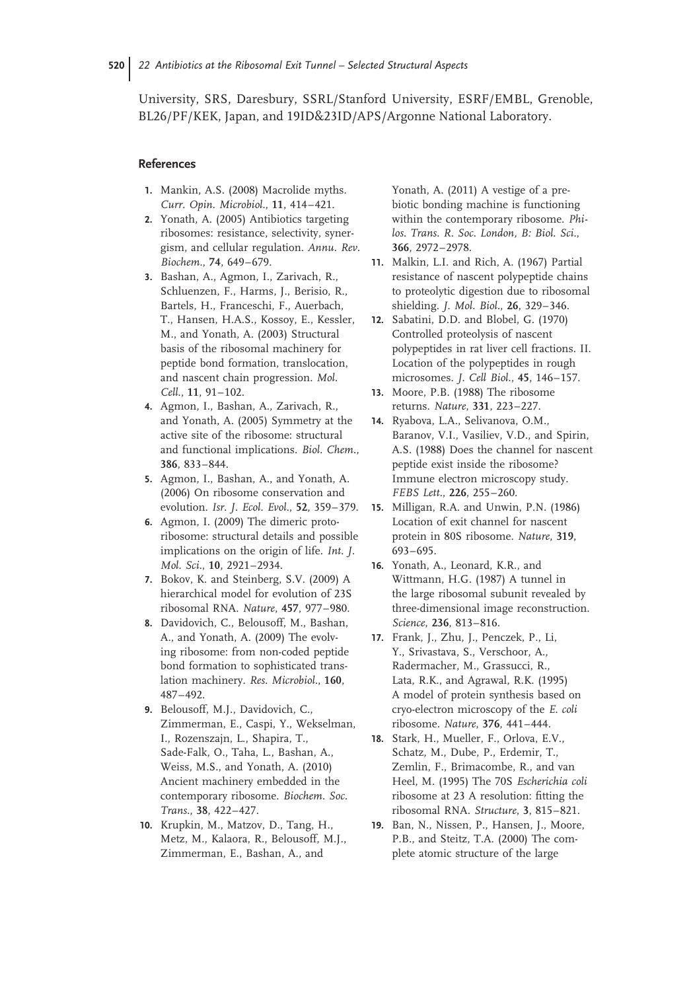University, SRS, Daresbury, SSRL/Stanford University, ESRF/EMBL, Grenoble, BL26/PF/KEK, Japan, and 19ID&23ID/APS/Argonne National Laboratory.

#### **References**

- **1.** Mankin, A.S. (2008) Macrolide myths. *Curr. Opin. Microbiol.*, **11**, 414–421.
- **2.** Yonath, A. (2005) Antibiotics targeting ribosomes: resistance, selectivity, synergism, and cellular regulation. *Annu. Rev. Biochem.*, **74**, 649–679.
- **3.** Bashan, A., Agmon, I., Zarivach, R., Schluenzen, F., Harms, J., Berisio, R., Bartels, H., Franceschi, F., Auerbach, T., Hansen, H.A.S., Kossoy, E., Kessler, M., and Yonath, A. (2003) Structural basis of the ribosomal machinery for peptide bond formation, translocation, and nascent chain progression. *Mol. Cell.*, **11**, 91–102.
- **4.** Agmon, I., Bashan, A., Zarivach, R., and Yonath, A. (2005) Symmetry at the active site of the ribosome: structural and functional implications. *Biol. Chem.*, **386**, 833–844.
- **5.** Agmon, I., Bashan, A., and Yonath, A. (2006) On ribosome conservation and evolution. *Isr. J. Ecol. Evol.*, **52**, 359–379.
- **6.** Agmon, I. (2009) The dimeric protoribosome: structural details and possible implications on the origin of life. *Int. J. Mol. Sci.*, **10**, 2921–2934.
- **7.** Bokov, K. and Steinberg, S.V. (2009) A hierarchical model for evolution of 23S ribosomal RNA. *Nature*, **457**, 977–980.
- **8.** Davidovich, C., Belousoff, M., Bashan, A., and Yonath, A. (2009) The evolving ribosome: from non-coded peptide bond formation to sophisticated translation machinery. *Res. Microbiol.*, **160**, 487–492.
- **9.** Belousoff, M.J., Davidovich, C., Zimmerman, E., Caspi, Y., Wekselman, I., Rozenszajn, L., Shapira, T., Sade-Falk, O., Taha, L., Bashan, A., Weiss, M.S., and Yonath, A. (2010) Ancient machinery embedded in the contemporary ribosome. *Biochem. Soc. Trans.*, **38**, 422–427.
- **10.** Krupkin, M., Matzov, D., Tang, H., Metz, M., Kalaora, R., Belousoff, M.J., Zimmerman, E., Bashan, A., and

Yonath, A. (2011) A vestige of a prebiotic bonding machine is functioning within the contemporary ribosome. *Philos. Trans. R. Soc. London, B: Biol. Sci.*, **366**, 2972–2978.

- **11.** Malkin, L.I. and Rich, A. (1967) Partial resistance of nascent polypeptide chains to proteolytic digestion due to ribosomal shielding. *J. Mol. Biol.*, **26**, 329–346.
- **12.** Sabatini, D.D. and Blobel, G. (1970) Controlled proteolysis of nascent polypeptides in rat liver cell fractions. II. Location of the polypeptides in rough microsomes. *J. Cell Biol.*, **45**, 146–157.
- **13.** Moore, P.B. (1988) The ribosome returns. *Nature*, **331**, 223–227.
- **14.** Ryabova, L.A., Selivanova, O.M., Baranov, V.I., Vasiliev, V.D., and Spirin, A.S. (1988) Does the channel for nascent peptide exist inside the ribosome? Immune electron microscopy study. *FEBS Lett.*, **226**, 255–260.
- **15.** Milligan, R.A. and Unwin, P.N. (1986) Location of exit channel for nascent protein in 80S ribosome. *Nature*, **319**, 693–695.
- **16.** Yonath, A., Leonard, K.R., and Wittmann, H.G. (1987) A tunnel in the large ribosomal subunit revealed by three-dimensional image reconstruction. *Science*, **236**, 813–816.
- **17.** Frank, J., Zhu, J., Penczek, P., Li, Y., Srivastava, S., Verschoor, A., Radermacher, M., Grassucci, R., Lata, R.K., and Agrawal, R.K. (1995) A model of protein synthesis based on cryo-electron microscopy of the *E. coli* ribosome. *Nature*, **376**, 441–444.
- **18.** Stark, H., Mueller, F., Orlova, E.V., Schatz, M., Dube, P., Erdemir, T., Zemlin, F., Brimacombe, R., and van Heel, M. (1995) The 70S *Escherichia coli* ribosome at 23 A resolution: fitting the ribosomal RNA. *Structure*, **3**, 815–821.
- **19.** Ban, N., Nissen, P., Hansen, J., Moore, P.B., and Steitz, T.A. (2000) The complete atomic structure of the large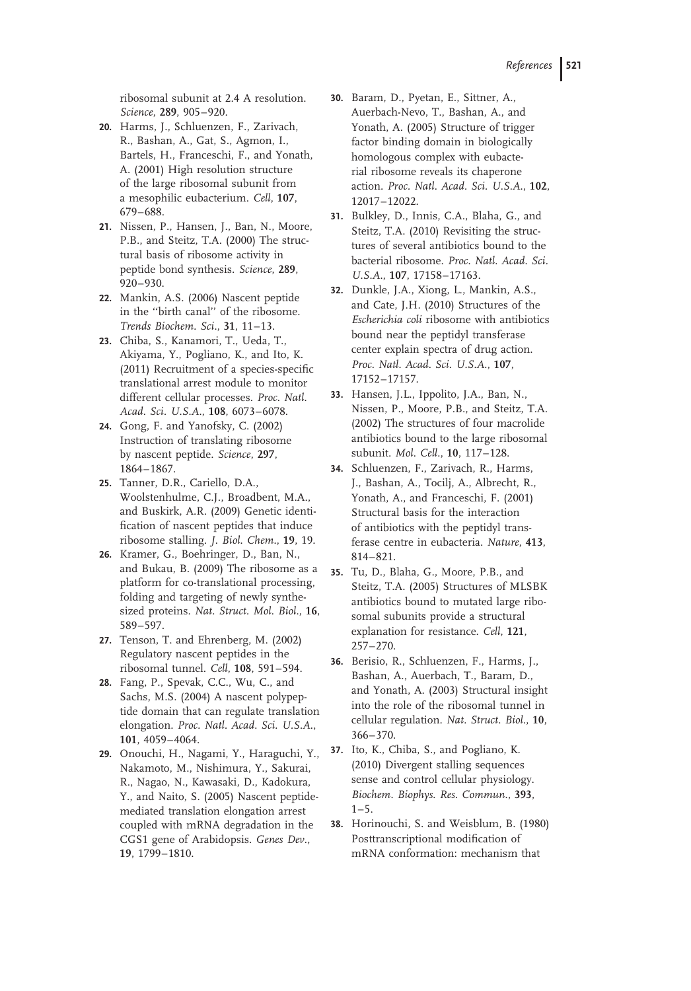ribosomal subunit at 2.4 A resolution. *Science*, **289**, 905–920.

- **20.** Harms, J., Schluenzen, F., Zarivach, R., Bashan, A., Gat, S., Agmon, I., Bartels, H., Franceschi, F., and Yonath, A. (2001) High resolution structure of the large ribosomal subunit from a mesophilic eubacterium. *Cell*, **107**, 679–688.
- **21.** Nissen, P., Hansen, J., Ban, N., Moore, P.B., and Steitz, T.A. (2000) The structural basis of ribosome activity in peptide bond synthesis. *Science*, **289**, 920–930.
- **22.** Mankin, A.S. (2006) Nascent peptide in the ''birth canal'' of the ribosome. *Trends Biochem. Sci.*, **31**, 11–13.
- **23.** Chiba, S., Kanamori, T., Ueda, T., Akiyama, Y., Pogliano, K., and Ito, K. (2011) Recruitment of a species-specific translational arrest module to monitor different cellular processes. *Proc. Natl. Acad. Sci. U.S.A.*, **108**, 6073–6078.
- **24.** Gong, F. and Yanofsky, C. (2002) Instruction of translating ribosome by nascent peptide. *Science*, **297**, 1864–1867.
- **25.** Tanner, D.R., Cariello, D.A., Woolstenhulme, C.J., Broadbent, M.A., and Buskirk, A.R. (2009) Genetic identification of nascent peptides that induce ribosome stalling. *J. Biol. Chem.*, **19**, 19.
- **26.** Kramer, G., Boehringer, D., Ban, N., and Bukau, B. (2009) The ribosome as a platform for co-translational processing, folding and targeting of newly synthesized proteins. *Nat. Struct. Mol. Biol.*, **16**, 589–597.
- **27.** Tenson, T. and Ehrenberg, M. (2002) Regulatory nascent peptides in the ribosomal tunnel. *Cell*, **108**, 591–594.
- **28.** Fang, P., Spevak, C.C., Wu, C., and Sachs, M.S. (2004) A nascent polypeptide domain that can regulate translation elongation. *Proc. Natl. Acad. Sci. U.S.A.*, **101**, 4059–4064.
- **29.** Onouchi, H., Nagami, Y., Haraguchi, Y., Nakamoto, M., Nishimura, Y., Sakurai, R., Nagao, N., Kawasaki, D., Kadokura, Y., and Naito, S. (2005) Nascent peptidemediated translation elongation arrest coupled with mRNA degradation in the CGS1 gene of Arabidopsis. *Genes Dev.*, **19**, 1799–1810.
- **30.** Baram, D., Pyetan, E., Sittner, A., Auerbach-Nevo, T., Bashan, A., and Yonath, A. (2005) Structure of trigger factor binding domain in biologically homologous complex with eubacterial ribosome reveals its chaperone action. *Proc. Natl. Acad. Sci. U.S.A.*, **102**, 12017–12022.
- **31.** Bulkley, D., Innis, C.A., Blaha, G., and Steitz, T.A. (2010) Revisiting the structures of several antibiotics bound to the bacterial ribosome. *Proc. Natl. Acad. Sci. U.S.A.*, **107**, 17158–17163.
- **32.** Dunkle, J.A., Xiong, L., Mankin, A.S., and Cate, J.H. (2010) Structures of the *Escherichia coli* ribosome with antibiotics bound near the peptidyl transferase center explain spectra of drug action. *Proc. Natl. Acad. Sci. U.S.A.*, **107**, 17152–17157.
- **33.** Hansen, J.L., Ippolito, J.A., Ban, N., Nissen, P., Moore, P.B., and Steitz, T.A. (2002) The structures of four macrolide antibiotics bound to the large ribosomal subunit. *Mol. Cell.*, **10**, 117–128.
- **34.** Schluenzen, F., Zarivach, R., Harms, J., Bashan, A., Tocilj, A., Albrecht, R., Yonath, A., and Franceschi, F. (2001) Structural basis for the interaction of antibiotics with the peptidyl transferase centre in eubacteria. *Nature*, **413**, 814–821.
- **35.** Tu, D., Blaha, G., Moore, P.B., and Steitz, T.A. (2005) Structures of MLSBK antibiotics bound to mutated large ribosomal subunits provide a structural explanation for resistance. *Cell*, **121**, 257–270.
- **36.** Berisio, R., Schluenzen, F., Harms, J., Bashan, A., Auerbach, T., Baram, D., and Yonath, A. (2003) Structural insight into the role of the ribosomal tunnel in cellular regulation. *Nat. Struct. Biol.*, **10**, 366–370.
- **37.** Ito, K., Chiba, S., and Pogliano, K. (2010) Divergent stalling sequences sense and control cellular physiology. *Biochem. Biophys. Res. Commun.*, **393**,  $1 - 5$ .
- **38.** Horinouchi, S. and Weisblum, B. (1980) Posttranscriptional modification of mRNA conformation: mechanism that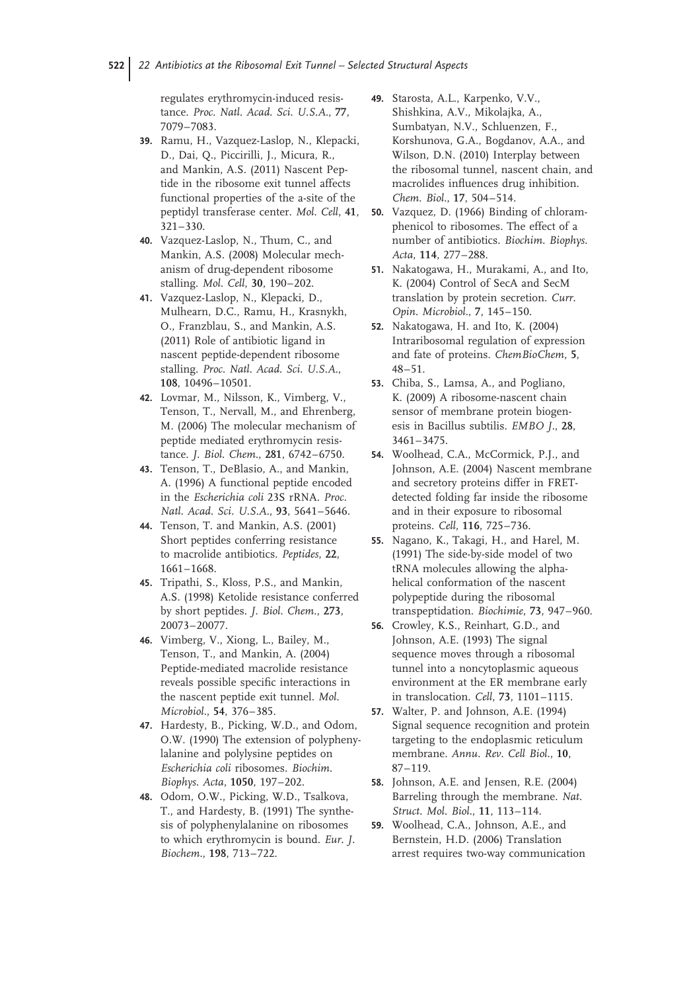regulates erythromycin-induced resistance. *Proc. Natl. Acad. Sci. U.S.A.*, **77**, 7079–7083.

- **39.** Ramu, H., Vazquez-Laslop, N., Klepacki, D., Dai, Q., Piccirilli, J., Micura, R., and Mankin, A.S. (2011) Nascent Peptide in the ribosome exit tunnel affects functional properties of the a-site of the peptidyl transferase center. *Mol. Cell*, **41**, 321–330.
- **40.** Vazquez-Laslop, N., Thum, C., and Mankin, A.S. (2008) Molecular mechanism of drug-dependent ribosome stalling. *Mol. Cell*, **30**, 190–202.
- **41.** Vazquez-Laslop, N., Klepacki, D., Mulhearn, D.C., Ramu, H., Krasnykh, O., Franzblau, S., and Mankin, A.S. (2011) Role of antibiotic ligand in nascent peptide-dependent ribosome stalling. *Proc. Natl. Acad. Sci. U.S.A.*, **108**, 10496–10501.
- **42.** Lovmar, M., Nilsson, K., Vimberg, V., Tenson, T., Nervall, M., and Ehrenberg, M. (2006) The molecular mechanism of peptide mediated erythromycin resistance. *J. Biol. Chem.*, **281**, 6742–6750.
- **43.** Tenson, T., DeBlasio, A., and Mankin, A. (1996) A functional peptide encoded in the *Escherichia coli* 23S rRNA. *Proc. Natl. Acad. Sci. U.S.A.*, **93**, 5641–5646.
- **44.** Tenson, T. and Mankin, A.S. (2001) Short peptides conferring resistance to macrolide antibiotics. *Peptides*, **22**, 1661–1668.
- **45.** Tripathi, S., Kloss, P.S., and Mankin, A.S. (1998) Ketolide resistance conferred by short peptides. *J. Biol. Chem.*, **273**, 20073–20077.
- **46.** Vimberg, V., Xiong, L., Bailey, M., Tenson, T., and Mankin, A. (2004) Peptide-mediated macrolide resistance reveals possible specific interactions in the nascent peptide exit tunnel. *Mol. Microbiol.*, **54**, 376–385.
- **47.** Hardesty, B., Picking, W.D., and Odom, O.W. (1990) The extension of polyphenylalanine and polylysine peptides on *Escherichia coli* ribosomes. *Biochim. Biophys. Acta*, **1050**, 197–202.
- **48.** Odom, O.W., Picking, W.D., Tsalkova, T., and Hardesty, B. (1991) The synthesis of polyphenylalanine on ribosomes to which erythromycin is bound. *Eur. J. Biochem.*, **198**, 713–722.
- **49.** Starosta, A.L., Karpenko, V.V., Shishkina, A.V., Mikolajka, A., Sumbatyan, N.V., Schluenzen, F., Korshunova, G.A., Bogdanov, A.A., and Wilson, D.N. (2010) Interplay between the ribosomal tunnel, nascent chain, and macrolides influences drug inhibition. *Chem. Biol.*, **17**, 504–514.
- **50.** Vazquez, D. (1966) Binding of chloramphenicol to ribosomes. The effect of a number of antibiotics. *Biochim. Biophys. Acta*, **114**, 277–288.
- **51.** Nakatogawa, H., Murakami, A., and Ito, K. (2004) Control of SecA and SecM translation by protein secretion. *Curr. Opin. Microbiol.*, **7**, 145–150.
- **52.** Nakatogawa, H. and Ito, K. (2004) Intraribosomal regulation of expression and fate of proteins. *ChemBioChem*, **5**, 48–51.
- **53.** Chiba, S., Lamsa, A., and Pogliano, K. (2009) A ribosome-nascent chain sensor of membrane protein biogenesis in Bacillus subtilis. *EMBO J.*, **28**, 3461–3475.
- **54.** Woolhead, C.A., McCormick, P.J., and Johnson, A.E. (2004) Nascent membrane and secretory proteins differ in FRETdetected folding far inside the ribosome and in their exposure to ribosomal proteins. *Cell*, **116**, 725–736.
- **55.** Nagano, K., Takagi, H., and Harel, M. (1991) The side-by-side model of two tRNA molecules allowing the alphahelical conformation of the nascent polypeptide during the ribosomal transpeptidation. *Biochimie*, **73**, 947–960.
- **56.** Crowley, K.S., Reinhart, G.D., and Johnson, A.E. (1993) The signal sequence moves through a ribosomal tunnel into a noncytoplasmic aqueous environment at the ER membrane early in translocation. *Cell*, **73**, 1101–1115.
- **57.** Walter, P. and Johnson, A.E. (1994) Signal sequence recognition and protein targeting to the endoplasmic reticulum membrane. *Annu. Rev. Cell Biol.*, **10**, 87–119.
- **58.** Johnson, A.E. and Jensen, R.E. (2004) Barreling through the membrane. *Nat. Struct. Mol. Biol.*, **11**, 113–114.
- **59.** Woolhead, C.A., Johnson, A.E., and Bernstein, H.D. (2006) Translation arrest requires two-way communication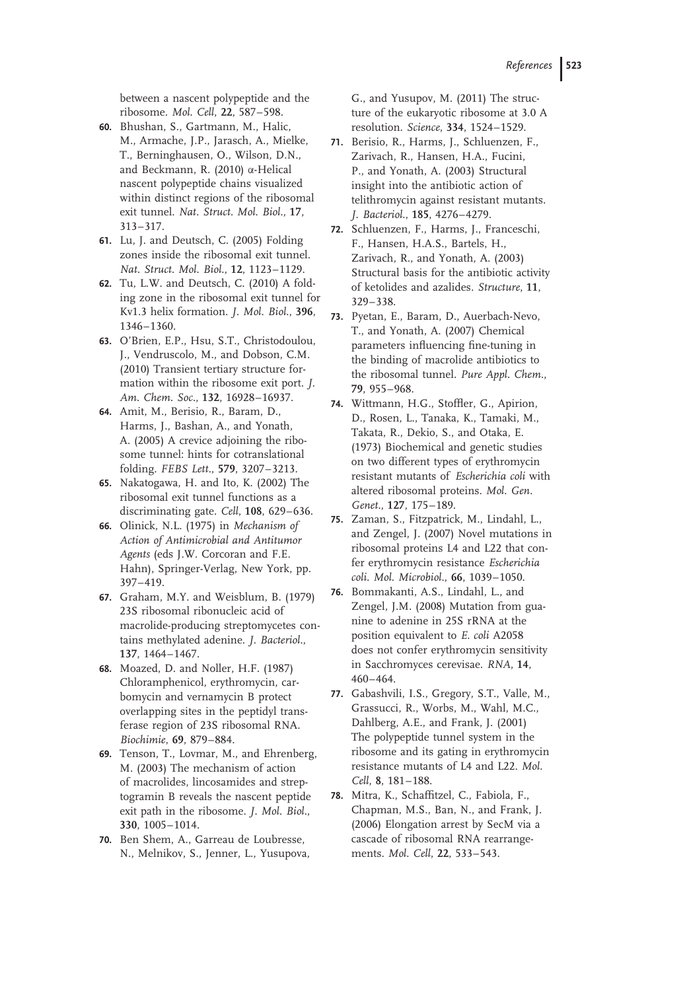between a nascent polypeptide and the ribosome. *Mol. Cell*, **22**, 587–598.

- **60.** Bhushan, S., Gartmann, M., Halic, M., Armache, J.P., Jarasch, A., Mielke, T., Berninghausen, O., Wilson, D.N., and Beckmann, R. (2010) α-Helical nascent polypeptide chains visualized within distinct regions of the ribosomal exit tunnel. *Nat. Struct. Mol. Biol.*, **17**, 313–317.
- **61.** Lu, J. and Deutsch, C. (2005) Folding zones inside the ribosomal exit tunnel. *Nat. Struct. Mol. Biol.*, **12**, 1123–1129.
- **62.** Tu, L.W. and Deutsch, C. (2010) A folding zone in the ribosomal exit tunnel for Kv1.3 helix formation. *J. Mol. Biol.*, **396**, 1346–1360.
- **63.** O'Brien, E.P., Hsu, S.T., Christodoulou, J., Vendruscolo, M., and Dobson, C.M. (2010) Transient tertiary structure formation within the ribosome exit port. *J. Am. Chem. Soc.*, **132**, 16928–16937.
- **64.** Amit, M., Berisio, R., Baram, D., Harms, J., Bashan, A., and Yonath, A. (2005) A crevice adjoining the ribosome tunnel: hints for cotranslational folding. *FEBS Lett.*, **579**, 3207–3213.
- **65.** Nakatogawa, H. and Ito, K. (2002) The ribosomal exit tunnel functions as a discriminating gate. *Cell*, **108**, 629–636.
- **66.** Olinick, N.L. (1975) in *Mechanism of Action of Antimicrobial and Antitumor Agents* (eds J.W. Corcoran and F.E. Hahn), Springer-Verlag, New York, pp. 397–419.
- **67.** Graham, M.Y. and Weisblum, B. (1979) 23S ribosomal ribonucleic acid of macrolide-producing streptomycetes contains methylated adenine. *J. Bacteriol.*, **137**, 1464–1467.
- **68.** Moazed, D. and Noller, H.F. (1987) Chloramphenicol, erythromycin, carbomycin and vernamycin B protect overlapping sites in the peptidyl transferase region of 23S ribosomal RNA. *Biochimie*, **69**, 879–884.
- **69.** Tenson, T., Lovmar, M., and Ehrenberg, M. (2003) The mechanism of action of macrolides, lincosamides and streptogramin B reveals the nascent peptide exit path in the ribosome. *J. Mol. Biol.*, **330**, 1005–1014.
- **70.** Ben Shem, A., Garreau de Loubresse, N., Melnikov, S., Jenner, L., Yusupova,

G., and Yusupov, M. (2011) The structure of the eukaryotic ribosome at 3.0 A resolution. *Science*, **334**, 1524–1529.

- **71.** Berisio, R., Harms, J., Schluenzen, F., Zarivach, R., Hansen, H.A., Fucini, P., and Yonath, A. (2003) Structural insight into the antibiotic action of telithromycin against resistant mutants. *J. Bacteriol.*, **185**, 4276–4279.
- **72.** Schluenzen, F., Harms, J., Franceschi, F., Hansen, H.A.S., Bartels, H., Zarivach, R., and Yonath, A. (2003) Structural basis for the antibiotic activity of ketolides and azalides. *Structure*, **11**, 329–338.
- **73.** Pyetan, E., Baram, D., Auerbach-Nevo, T., and Yonath, A. (2007) Chemical parameters influencing fine-tuning in the binding of macrolide antibiotics to the ribosomal tunnel. *Pure Appl. Chem.*, **79**, 955–968.
- **74.** Wittmann, H.G., Stoffler, G., Apirion, D., Rosen, L., Tanaka, K., Tamaki, M., Takata, R., Dekio, S., and Otaka, E. (1973) Biochemical and genetic studies on two different types of erythromycin resistant mutants of *Escherichia coli* with altered ribosomal proteins. *Mol. Gen. Genet.*, **127**, 175–189.
- **75.** Zaman, S., Fitzpatrick, M., Lindahl, L., and Zengel, J. (2007) Novel mutations in ribosomal proteins L4 and L22 that confer erythromycin resistance *Escherichia coli*. *Mol. Microbiol.*, **66**, 1039–1050.
- **76.** Bommakanti, A.S., Lindahl, L., and Zengel, J.M. (2008) Mutation from guanine to adenine in 25S rRNA at the position equivalent to *E. coli* A2058 does not confer erythromycin sensitivity in Sacchromyces cerevisae. *RNA*, **14**, 460–464.
- **77.** Gabashvili, I.S., Gregory, S.T., Valle, M., Grassucci, R., Worbs, M., Wahl, M.C., Dahlberg, A.E., and Frank, J. (2001) The polypeptide tunnel system in the ribosome and its gating in erythromycin resistance mutants of L4 and L22. *Mol. Cell*, **8**, 181–188.
- **78.** Mitra, K., Schaffitzel, C., Fabiola, F., Chapman, M.S., Ban, N., and Frank, J. (2006) Elongation arrest by SecM via a cascade of ribosomal RNA rearrangements. *Mol. Cell*, **22**, 533–543.